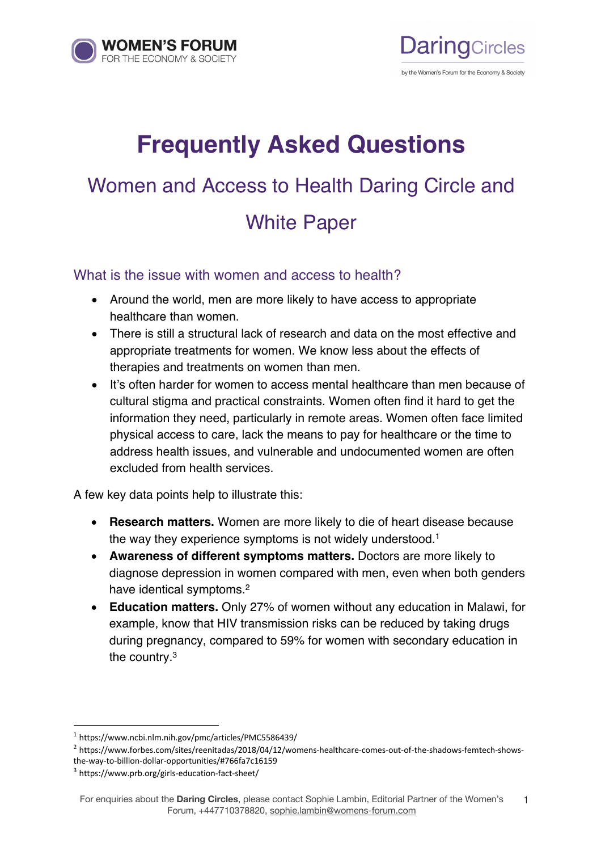



# **Frequently Asked Questions** Women and Access to Health Daring Circle and White Paper

What is the issue with women and access to health?

- Around the world, men are more likely to have access to appropriate healthcare than women.
- There is still a structural lack of research and data on the most effective and appropriate treatments for women. We know less about the effects of therapies and treatments on women than men.
- It's often harder for women to access mental healthcare than men because of cultural stigma and practical constraints. Women often find it hard to get the information they need, particularly in remote areas. Women often face limited physical access to care, lack the means to pay for healthcare or the time to address health issues, and vulnerable and undocumented women are often excluded from health services.

A few key data points help to illustrate this:

- **Research matters.** Women are more likely to die of heart disease because the way they experience symptoms is not widely understood. 1
- **Awareness of different symptoms matters.** Doctors are more likely to diagnose depression in women compared with men, even when both genders have identical symptoms.2
- **Education matters.** Only 27% of women without any education in Malawi, for example, know that HIV transmission risks can be reduced by taking drugs during pregnancy, compared to 59% for women with secondary education in the country.3

<sup>2</sup> https://www.forbes.com/sites/reenitadas/2018/04/12/womens-healthcare-comes-out-of-the-shadows-femtech-showsthe-way-to-billion-dollar-opportunities/#766fa7c16159

<sup>1</sup> https://www.ncbi.nlm.nih.gov/pmc/articles/PMC5586439/

<sup>3</sup> https://www.prb.org/girls-education-fact-sheet/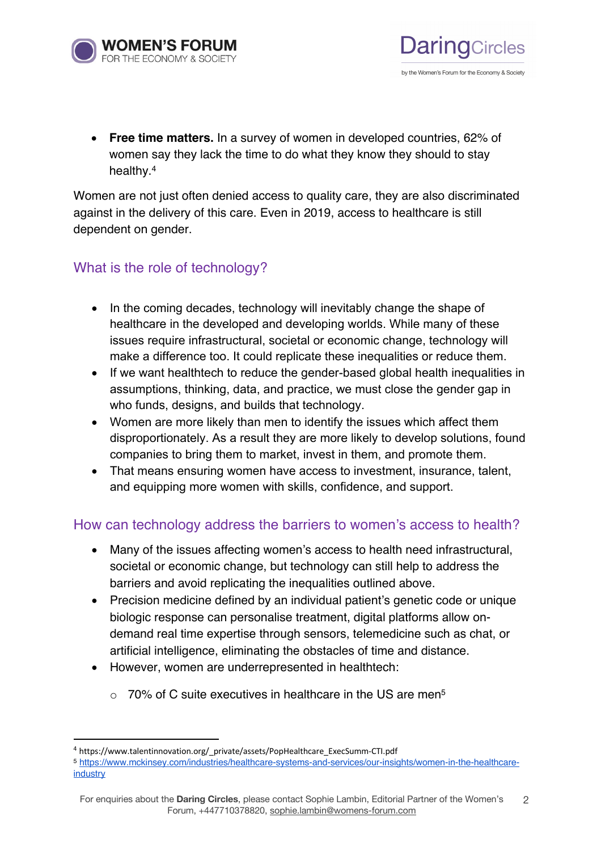

• **Free time matters.** In a survey of women in developed countries, 62% of women say they lack the time to do what they know they should to stay healthy.4

**DaringCircles** 

by the Women's Forum for the Economy & Society

Women are not just often denied access to quality care, they are also discriminated against in the delivery of this care. Even in 2019, access to healthcare is still dependent on gender.

# What is the role of technology?

- In the coming decades, technology will inevitably change the shape of healthcare in the developed and developing worlds. While many of these issues require infrastructural, societal or economic change, technology will make a difference too. It could replicate these inequalities or reduce them.
- If we want healthtech to reduce the gender-based global health inequalities in assumptions, thinking, data, and practice, we must close the gender gap in who funds, designs, and builds that technology.
- Women are more likely than men to identify the issues which affect them disproportionately. As a result they are more likely to develop solutions, found companies to bring them to market, invest in them, and promote them.
- That means ensuring women have access to investment, insurance, talent, and equipping more women with skills, confidence, and support.

# How can technology address the barriers to women's access to health?

- Many of the issues affecting women's access to health need infrastructural, societal or economic change, but technology can still help to address the barriers and avoid replicating the inequalities outlined above.
- Precision medicine defined by an individual patient's genetic code or unique biologic response can personalise treatment, digital platforms allow ondemand real time expertise through sensors, telemedicine such as chat, or artificial intelligence, eliminating the obstacles of time and distance.
- However, women are underrepresented in healthtech:
	- $\circ$  70% of C suite executives in healthcare in the US are men<sup>5</sup>

<sup>&</sup>lt;sup>4</sup> https://www.talentinnovation.org/ private/assets/PopHealthcare ExecSumm-CTI.pdf

<sup>5</sup> https://www.mckinsey.com/industries/healthcare-systems-and-services/our-insights/women-in-the-healthcareindustry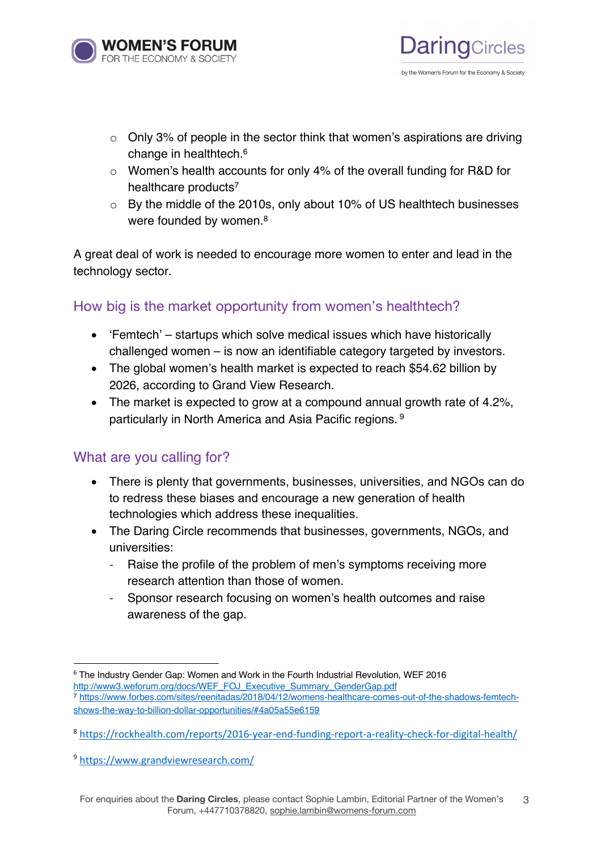

 $\circ$  Only 3% of people in the sector think that women's aspirations are driving change in healthtech.6

**DaringCircles** 

by the Women's Forum for the Economy & Society

- o Women's health accounts for only 4% of the overall funding for R&D for healthcare products<sup>7</sup>
- o By the middle of the 2010s, only about 10% of US healthtech businesses were founded by women.<sup>8</sup>

A great deal of work is needed to encourage more women to enter and lead in the technology sector.

# How big is the market opportunity from women's healthtech?

- 'Femtech' startups which solve medical issues which have historically challenged women – is now an identifiable category targeted by investors.
- The global women's health market is expected to reach \$54.62 billion by 2026, according to Grand View Research.
- The market is expected to grow at a compound annual growth rate of 4.2%, particularly in North America and Asia Pacific regions. <sup>9</sup>

# What are you calling for?

- There is plenty that governments, businesses, universities, and NGOs can do to redress these biases and encourage a new generation of health technologies which address these inequalities.
- The Daring Circle recommends that businesses, governments, NGOs, and universities:
	- Raise the profile of the problem of men's symptoms receiving more research attention than those of women.
	- Sponsor research focusing on women's health outcomes and raise awareness of the gap.

<sup>6</sup> The Industry Gender Gap: Women and Work in the Fourth Industrial Revolution, WEF 2016 http://www3.weforum.org/docs/WEF\_FOJ\_Executive\_Summary\_GenderGap.pdf

<sup>7</sup> https://www.forbes.com/sites/reenitadas/2018/04/12/womens-healthcare-comes-out-of-the-shadows-femtechshows-the-way-to-billion-dollar-opportunities/#4a05a55e6159

<sup>8</sup> https://rockhealth.com/reports/2016-year-end-funding-report-a-reality-check-for-digital-health/

<sup>9</sup> https://www.grandviewresearch.com/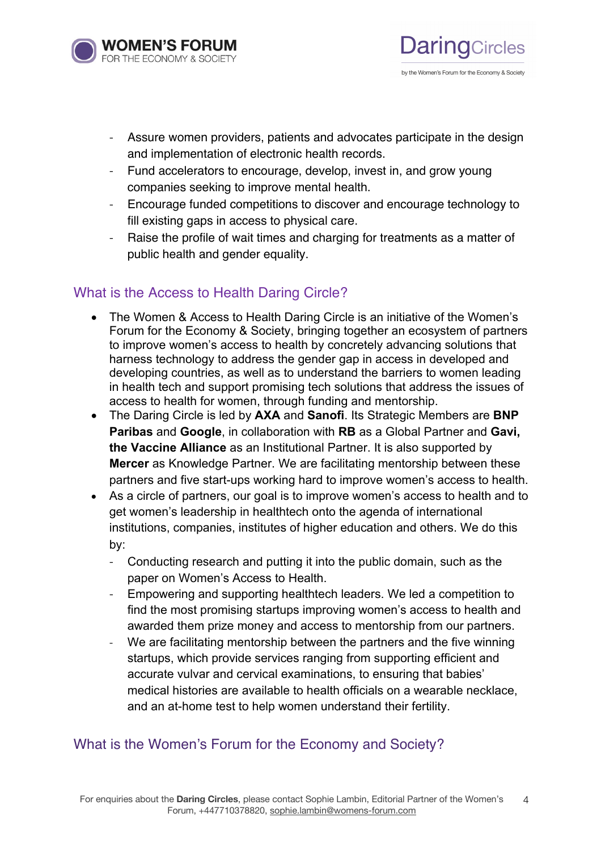

**DaringCircles** 

- Assure women providers, patients and advocates participate in the design and implementation of electronic health records.
- Fund accelerators to encourage, develop, invest in, and grow young companies seeking to improve mental health.
- Encourage funded competitions to discover and encourage technology to fill existing gaps in access to physical care.
- Raise the profile of wait times and charging for treatments as a matter of public health and gender equality.

# What is the Access to Health Daring Circle?

- The Women & Access to Health Daring Circle is an initiative of the Women's Forum for the Economy & Society, bringing together an ecosystem of partners to improve women's access to health by concretely advancing solutions that harness technology to address the gender gap in access in developed and developing countries, as well as to understand the barriers to women leading in health tech and support promising tech solutions that address the issues of access to health for women, through funding and mentorship.
- The Daring Circle is led by **AXA** and **Sanofi**. Its Strategic Members are **BNP Paribas** and **Google**, in collaboration with **RB** as a Global Partner and **Gavi, the Vaccine Alliance** as an Institutional Partner. It is also supported by **Mercer** as Knowledge Partner. We are facilitating mentorship between these partners and five start-ups working hard to improve women's access to health.
- As a circle of partners, our goal is to improve women's access to health and to get women's leadership in healthtech onto the agenda of international institutions, companies, institutes of higher education and others. We do this by:
	- Conducting research and putting it into the public domain, such as the paper on Women's Access to Health.
	- Empowering and supporting healthtech leaders. We led a competition to find the most promising startups improving women's access to health and awarded them prize money and access to mentorship from our partners.
	- We are facilitating mentorship between the partners and the five winning startups, which provide services ranging from supporting efficient and accurate vulvar and cervical examinations, to ensuring that babies' medical histories are available to health officials on a wearable necklace, and an at-home test to help women understand their fertility.

# What is the Women's Forum for the Economy and Society?